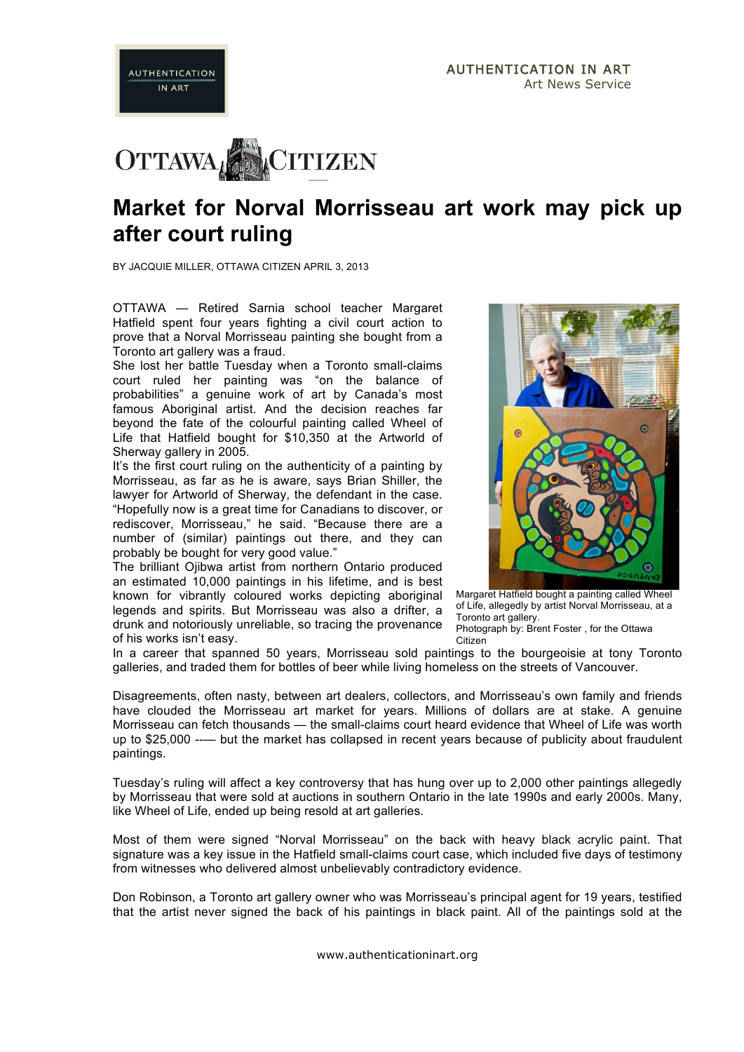

**AUTHENTICATION IN ART** 

## **Market for Norval Morrisseau art work may pick up after court ruling**

BY JACQUIE MILLER, OTTAWA CITIZEN APRIL 3, 2013

OTTAWA — Retired Sarnia school teacher Margaret Hatfield spent four years fighting a civil court action to prove that a Norval Morrisseau painting she bought from a Toronto art gallery was a fraud.

She lost her battle Tuesday when a Toronto small-claims court ruled her painting was "on the balance of probabilities" a genuine work of art by Canada's most famous Aboriginal artist. And the decision reaches far beyond the fate of the colourful painting called Wheel of Life that Hatfield bought for \$10,350 at the Artworld of Sherway gallery in 2005.

It's the first court ruling on the authenticity of a painting by Morrisseau, as far as he is aware, says Brian Shiller, the lawyer for Artworld of Sherway, the defendant in the case. "Hopefully now is a great time for Canadians to discover, or rediscover, Morrisseau," he said. "Because there are a number of (similar) paintings out there, and they can probably be bought for very good value."

The brilliant Ojibwa artist from northern Ontario produced an estimated 10,000 paintings in his lifetime, and is best known for vibrantly coloured works depicting aboriginal legends and spirits. But Morrisseau was also a drifter, a drunk and notoriously unreliable, so tracing the provenance of his works isn't easy.



Margaret Hatfield bought a painting called Wheel of Life, allegedly by artist Norval Morrisseau, at a Toronto art gallery.

Photograph by: Brent Foster , for the Ottawa Citizen

In a career that spanned 50 years, Morrisseau sold paintings to the bourgeoisie at tony Toronto galleries, and traded them for bottles of beer while living homeless on the streets of Vancouver.

Disagreements, often nasty, between art dealers, collectors, and Morrisseau's own family and friends have clouded the Morrisseau art market for years. Millions of dollars are at stake. A genuine Morrisseau can fetch thousands — the small-claims court heard evidence that Wheel of Life was worth up to \$25,000 --— but the market has collapsed in recent years because of publicity about fraudulent paintings.

Tuesday's ruling will affect a key controversy that has hung over up to 2,000 other paintings allegedly by Morrisseau that were sold at auctions in southern Ontario in the late 1990s and early 2000s. Many, like Wheel of Life, ended up being resold at art galleries.

Most of them were signed "Norval Morrisseau" on the back with heavy black acrylic paint. That signature was a key issue in the Hatfield small-claims court case, which included five days of testimony from witnesses who delivered almost unbelievably contradictory evidence.

Don Robinson, a Toronto art gallery owner who was Morrisseau's principal agent for 19 years, testified that the artist never signed the back of his paintings in black paint. All of the paintings sold at the